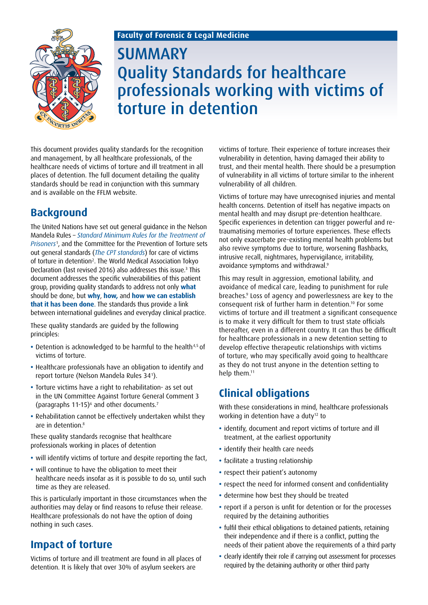### **Faculty of Forensic & Legal Medicine**



# **SUMMARY** Quality Standards for healthcare professionals working with victims of torture in detention

This document provides quality standards for the recognition and management, by all healthcare professionals, of the healthcare needs of victims of torture and ill treatment in all places of detention. The full document detailing the quality standards should be read in conjunction with this summary and is available on the FFLM website.

# **Background**

The United Nations have set out general guidance in the Nelson Mandela Rules – *[Standard Minimum Rules for the Treatment of](http://www.unodc.org/documents/justice-and-prison-reform/GA-RESOLUTION/E_ebook.pdf)  [Prisoners](http://www.unodc.org/documents/justice-and-prison-reform/GA-RESOLUTION/E_ebook.pdf)*<sup>1</sup> , and the Committee for the Prevention of Torture sets out general standards (*[The CPT standards](www.pytkam.net/web/images/news/2009/09/0000007.pdf)*) for care of victims of torture in detention<sup>2</sup>. The World Medical Association Tokyo Declaration (last revised 2016) also addresses this issue.<sup>3</sup> This document addresses the specific vulnerabilities of this patient group, providing quality standards to address not only **what** should be done, but **why**, **how,** and **how we can establish that it has been done**. The standards thus provide a link between international guidelines and everyday clinical practice.

These quality standards are guided by the following principles:

- Detention is acknowledged to be harmful to the health<sup>4,5</sup> of victims of torture.
- **•** Healthcare professionals have an obligation to identify and report torture (Nelson Mandela Rules 341 ).
- **•** Torture victims have a right to rehabilitation- as set out in the UN Committee Against Torture General Comment 3 (paragraphs 11-15) $^{\circ}$  and other documents.<sup>7</sup>
- **•** Rehabilitation cannot be effectively undertaken whilst they are in detention.<sup>8</sup>

These quality standards recognise that healthcare professionals working in places of detention

- **•** will identify victims of torture and despite reporting the fact,
- **•** will continue to have the obligation to meet their healthcare needs insofar as it is possible to do so, until such time as they are released.

This is particularly important in those circumstances when the authorities may delay or find reasons to refuse their release. Healthcare professionals do not have the option of doing nothing in such cases.

### **Impact of torture**

Victims of torture and ill treatment are found in all places of detention. It is likely that over 30% of asylum seekers are

victims of torture. Their experience of torture increases their vulnerability in detention, having damaged their ability to trust, and their mental health. There should be a presumption of vulnerability in all victims of torture similar to the inherent vulnerability of all children.

Victims of torture may have unrecognised injuries and mental health concerns. Detention of itself has negative impacts on mental health and may disrupt pre-detention healthcare. Specific experiences in detention can trigger powerful and retraumatising memories of torture experiences. These effects not only exacerbate pre-existing mental health problems but also revive symptoms due to torture, worsening flashbacks, intrusive recall, nightmares, hypervigilance, irritability, avoidance symptoms and withdrawal.<sup>9</sup>

This may result in aggression, emotional lability, and avoidance of medical care, leading to punishment for rule breaches.9 Loss of agency and powerlessness are key to the consequent risk of further harm in detention.10 For some victims of torture and ill treatment a significant consequence is to make it very difficult for them to trust state officials thereafter, even in a different country. It can thus be difficult for healthcare professionals in a new detention setting to develop effective therapeutic relationships with victims of torture, who may specifically avoid going to healthcare as they do not trust anyone in the detention setting to help them.<sup>11</sup>

# **Clinical obligations**

With these considerations in mind, healthcare professionals working in detention have a duty<sup>12</sup> to

- **•** identify, document and report victims of torture and ill treatment, at the earliest opportunity
- **•** identify their health care needs
- **•** facilitate a trusting relationship
- **•** respect their patient's autonomy
- **•** respect the need for informed consent and confidentiality
- **•** determine how best they should be treated
- **•** report if a person is unfit for detention or for the processes required by the detaining authorities
- **•** fulfil their ethical obligations to detained patients, retaining their independence and if there is a conflict, putting the needs of their patient above the requirements of a third party
- **•** clearly identify their role if carrying out assessment for processes required by the detaining authority or other third party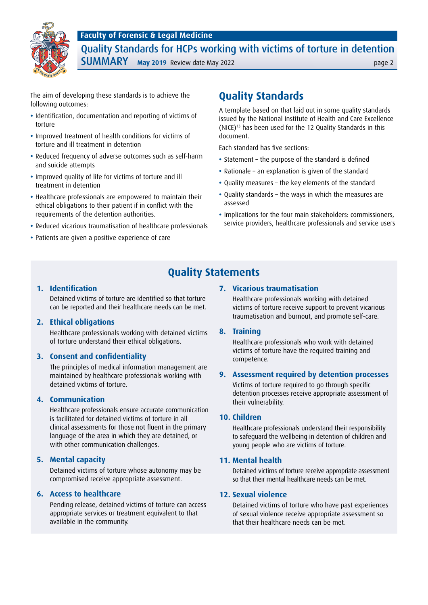



Quality Standards for HCPs working with victims of torture in detention **SUMMARY** May 2019 Review date May 2022

The aim of developing these standards is to achieve the following outcomes:

- **•** Identification, documentation and reporting of victims of torture
- **•** Improved treatment of health conditions for victims of torture and ill treatment in detention
- **•** Reduced frequency of adverse outcomes such as self-harm and suicide attempts
- **•** Improved quality of life for victims of torture and ill treatment in detention
- **•** Healthcare professionals are empowered to maintain their ethical obligations to their patient if in conflict with the requirements of the detention authorities.
- **•** Reduced vicarious traumatisation of healthcare professionals
- **•** Patients are given a positive experience of care

# **Quality Standards**

A template based on that laid out in some quality standards issued by the National Institute of Health and Care Excellence (NICE)13 has been used for the 12 Quality Standards in this document.

Each standard has five sections:

- **•** Statement the purpose of the standard is defined
- **•** Rationale an explanation is given of the standard
- **•** Quality measures the key elements of the standard
- **•** Quality standards the ways in which the measures are assessed
- **•** Implications for the four main stakeholders: commissioners, service providers, healthcare professionals and service users

### **Quality Statements**

#### **1. Identification**

Detained victims of torture are identified so that torture can be reported and their healthcare needs can be met.

#### **2. Ethical obligations**

Healthcare professionals working with detained victims of torture understand their ethical obligations.

#### **3. Consent and confidentiality**

The principles of medical information management are maintained by healthcare professionals working with detained victims of torture.

#### **4. Communication**

Healthcare professionals ensure accurate communication is facilitated for detained victims of torture in all clinical assessments for those not fluent in the primary language of the area in which they are detained, or with other communication challenges.

#### **5. Mental capacity**

Detained victims of torture whose autonomy may be compromised receive appropriate assessment.

#### **6. Access to healthcare**

Pending release, detained victims of torture can access appropriate services or treatment equivalent to that available in the community.

#### **7. Vicarious traumatisation**

Healthcare professionals working with detained victims of torture receive support to prevent vicarious traumatisation and burnout, and promote self-care.

#### **8. Training**

Healthcare professionals who work with detained victims of torture have the required training and competence.

#### **9. Assessment required by detention processes**

Victims of torture required to go through specific detention processes receive appropriate assessment of their vulnerability.

#### **10. Children**

Healthcare professionals understand their responsibility to safeguard the wellbeing in detention of children and young people who are victims of torture.

#### **11. Mental health**

Detained victims of torture receive appropriate assessment so that their mental healthcare needs can be met.

#### **12. Sexual violence**

Detained victims of torture who have past experiences of sexual violence receive appropriate assessment so that their healthcare needs can be met.